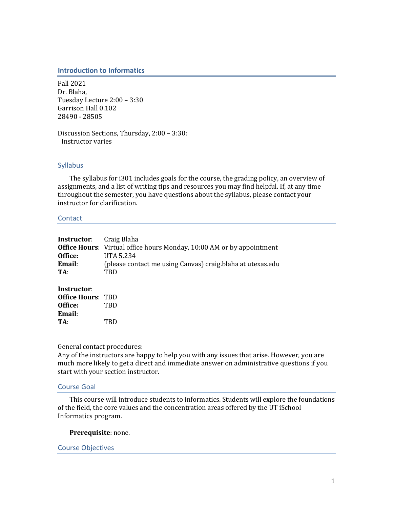## **Introduction to Informatics**

Fall 2021 Dr. Blaha, Tuesday Lecture 2:00 - 3:30 Garrison Hall 0.102 28490 - 28505

Discussion Sections, Thursday, 2:00 - 3:30: Instructor varies

## Syllabus

The syllabus for i301 includes goals for the course, the grading policy, an overview of assignments, and a list of writing tips and resources you may find helpful. If, at any time throughout the semester, you have questions about the syllabus, please contact your instructor for clarification.

## **Contact**

| <b>Instructor:</b> Craig Blaha                               | <b>Office Hours:</b> Virtual office hours Monday, 10:00 AM or by appointment |
|--------------------------------------------------------------|------------------------------------------------------------------------------|
| Office:                                                      | UTA 5.234                                                                    |
| Email:                                                       | (please contact me using Canvas) craig.blaha at utexas.edu                   |
| TA:                                                          | TBD                                                                          |
| Instructor:<br><b>Office Hours: TBD</b><br>Office:<br>Email: | TBD                                                                          |

## General contact procedures:

**TA**: TBD

Any of the instructors are happy to help you with any issues that arise. However, you are much more likely to get a direct and immediate answer on administrative questions if you start with your section instructor.

## Course Goal

This course will introduce students to informatics. Students will explore the foundations of the field, the core values and the concentration areas offered by the UT iSchool Informatics program. 

## Prerequisite: none.

## Course Objectives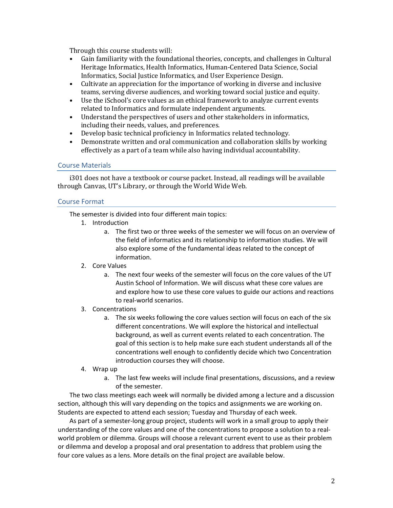Through this course students will:

- Gain familiarity with the foundational theories, concepts, and challenges in Cultural Heritage Informatics, Health Informatics, Human-Centered Data Science, Social Informatics, Social Justice Informatics, and User Experience Design.
- Cultivate an appreciation for the importance of working in diverse and inclusive teams, serving diverse audiences, and working toward social justice and equity.
- Use the iSchool's core values as an ethical framework to analyze current events related to Informatics and formulate independent arguments.
- Understand the perspectives of users and other stakeholders in informatics, including their needs, values, and preferences.
- Develop basic technical proficiency in Informatics related technology.
- Demonstrate written and oral communication and collaboration skills by working effectively as a part of a team while also having individual accountability.

## Course Materials

i301 does not have a textbook or course packet. Instead, all readings will be available through Canvas, UT's Library, or through the World Wide Web.

## Course Format

The semester is divided into four different main topics:

- 1. Introduction
	- a. The first two or three weeks of the semester we will focus on an overview of the field of informatics and its relationship to information studies. We will also explore some of the fundamental ideas related to the concept of information.
- 2. Core Values
	- a. The next four weeks of the semester will focus on the core values of the UT Austin School of Information. We will discuss what these core values are and explore how to use these core values to guide our actions and reactions to real-world scenarios.
- 3. Concentrations
	- a. The six weeks following the core values section will focus on each of the six different concentrations. We will explore the historical and intellectual background, as well as current events related to each concentration. The goal of this section is to help make sure each student understands all of the concentrations well enough to confidently decide which two Concentration introduction courses they will choose.
- 4. Wrap up
	- a. The last few weeks will include final presentations, discussions, and a review of the semester.

The two class meetings each week will normally be divided among a lecture and a discussion section, although this will vary depending on the topics and assignments we are working on. Students are expected to attend each session; Tuesday and Thursday of each week.

As part of a semester-long group project, students will work in a small group to apply their understanding of the core values and one of the concentrations to propose a solution to a realworld problem or dilemma. Groups will choose a relevant current event to use as their problem or dilemma and develop a proposal and oral presentation to address that problem using the four core values as a lens. More details on the final project are available below.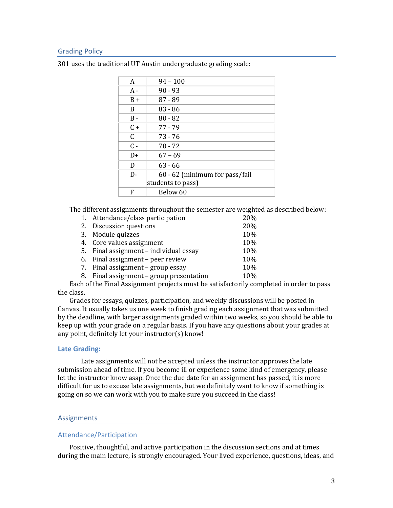## Grading Policy

| A     | $94 - 100$                     |
|-------|--------------------------------|
| $A -$ | $90 - 93$                      |
| $B +$ | $87 - 89$                      |
| B     | $83 - 86$                      |
| $B -$ | $80 - 82$                      |
| $C +$ | 77 - 79                        |
| C     | 73 - 76                        |
| $C -$ | $70 - 72$                      |
| D+    | $67 - 69$                      |
| D     | $63 - 66$                      |
| $D -$ | 60 - 62 (minimum for pass/fail |
|       | students to pass)              |
| F     | Below 60                       |

301 uses the traditional UT Austin undergraduate grading scale:

The different assignments throughout the semester are weighted as described below:

| 1. Attendance/class participation        | 20% |
|------------------------------------------|-----|
| 2. Discussion questions                  | 20% |
| 3. Module quizzes                        | 10% |
| 4. Core values assignment                | 10% |
| 5. Final assignment - individual essay   | 10% |
| 6. Final assignment - peer review        | 10% |
| 7. Final assignment - group essay        | 10% |
| 8. Final assignment - group presentation | 10% |

Each of the Final Assignment projects must be satisfactorily completed in order to pass the class.

Grades for essays, quizzes, participation, and weekly discussions will be posted in Canvas. It usually takes us one week to finish grading each assignment that was submitted by the deadline, with larger assignments graded within two weeks, so you should be able to keep up with your grade on a regular basis. If you have any questions about your grades at any point, definitely let your instructor(s) know!

#### **Late Grading:**

Late assignments will not be accepted unless the instructor approves the late submission ahead of time. If you become ill or experience some kind of emergency, please let the instructor know asap. Once the due date for an assignment has passed, it is more difficult for us to excuse late assignments, but we definitely want to know if something is going on so we can work with you to make sure you succeed in the class!

## **Assignments**

#### Attendance/Participation

Positive, thoughtful, and active participation in the discussion sections and at times during the main lecture, is strongly encouraged. Your lived experience, questions, ideas, and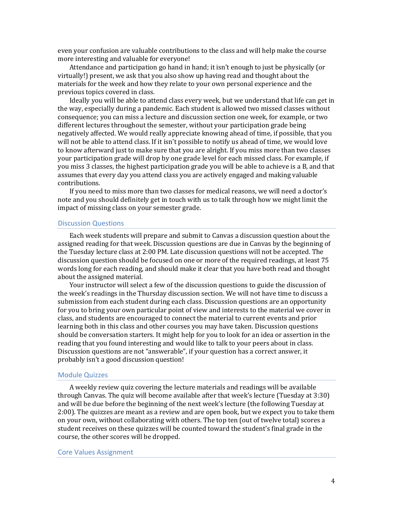even your confusion are valuable contributions to the class and will help make the course more interesting and valuable for everyone!

Attendance and participation go hand in hand; it isn't enough to just be physically (or virtually!) present, we ask that you also show up having read and thought about the materials for the week and how they relate to your own personal experience and the previous topics covered in class.

Ideally you will be able to attend class every week, but we understand that life can get in the way, especially during a pandemic. Each student is allowed two missed classes without consequence; you can miss a lecture and discussion section one week, for example, or two different lectures throughout the semester, without your participation grade being negatively affected. We would really appreciate knowing ahead of time, if possible, that you will not be able to attend class. If it isn't possible to notify us ahead of time, we would love to know afterward just to make sure that you are alright. If you miss more than two classes your participation grade will drop by one grade level for each missed class. For example, if you miss 3 classes, the highest participation grade you will be able to achieve is a B, and that assumes that every day you attend class you are actively engaged and making valuable contributions. 

If you need to miss more than two classes for medical reasons, we will need a doctor's note and you should definitely get in touch with us to talk through how we might limit the impact of missing class on your semester grade.

## Discussion Questions

Each week students will prepare and submit to Canvas a discussion question about the assigned reading for that week. Discussion questions are due in Canvas by the beginning of the Tuesday lecture class at 2:00 PM. Late discussion questions will not be accepted. The discussion question should be focused on one or more of the required readings, at least 75 words long for each reading, and should make it clear that you have both read and thought about the assigned material.

Your instructor will select a few of the discussion questions to guide the discussion of the week's readings in the Thursday discussion section. We will not have time to discuss a submission from each student during each class. Discussion questions are an opportunity for you to bring your own particular point of view and interests to the material we cover in class, and students are encouraged to connect the material to current events and prior learning both in this class and other courses you may have taken. Discussion questions should be conversation starters. It might help for you to look for an idea or assertion in the reading that you found interesting and would like to talk to your peers about in class. Discussion questions are not "answerable", if your question has a correct answer, it probably isn't a good discussion question!

## Module Quizzes

A weekly review quiz covering the lecture materials and readings will be available through Canvas. The quiz will become available after that week's lecture (Tuesday at 3:30) and will be due before the beginning of the next week's lecture (the following Tuesday at 2:00). The quizzes are meant as a review and are open book, but we expect you to take them on your own, without collaborating with others. The top ten (out of twelve total) scores a student receives on these quizzes will be counted toward the student's final grade in the course, the other scores will be dropped.

#### Core Values Assignment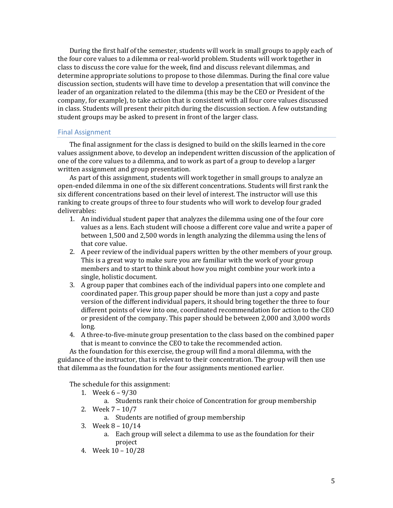During the first half of the semester, students will work in small groups to apply each of the four core values to a dilemma or real-world problem. Students will work together in class to discuss the core value for the week, find and discuss relevant dilemmas, and determine appropriate solutions to propose to those dilemmas. During the final core value discussion section, students will have time to develop a presentation that will convince the leader of an organization related to the dilemma (this may be the CEO or President of the company, for example), to take action that is consistent with all four core values discussed in class. Students will present their pitch during the discussion section. A few outstanding student groups may be asked to present in front of the larger class.

## Final Assignment

The final assignment for the class is designed to build on the skills learned in the core values assignment above, to develop an independent written discussion of the application of one of the core values to a dilemma, and to work as part of a group to develop a larger written assignment and group presentation.

As part of this assignment, students will work together in small groups to analyze an open-ended dilemma in one of the six different concentrations. Students will first rank the six different concentrations based on their level of interest. The instructor will use this ranking to create groups of three to four students who will work to develop four graded deliverables:

- 1. An individual student paper that analyzes the dilemma using one of the four core values as a lens. Each student will choose a different core value and write a paper of between 1,500 and 2,500 words in length analyzing the dilemma using the lens of that core value.
- 2. A peer review of the individual papers written by the other members of your group. This is a great way to make sure you are familiar with the work of your group members and to start to think about how you might combine your work into a single, holistic document.
- 3. A group paper that combines each of the individual papers into one complete and coordinated paper. This group paper should be more than just a copy and paste version of the different individual papers, it should bring together the three to four different points of view into one, coordinated recommendation for action to the CEO or president of the company. This paper should be between 2,000 and 3,000 words long.
- 4. A three-to-five-minute group presentation to the class based on the combined paper that is meant to convince the CEO to take the recommended action.

As the foundation for this exercise, the group will find a moral dilemma, with the guidance of the instructor, that is relevant to their concentration. The group will then use that dilemma as the foundation for the four assignments mentioned earlier.

The schedule for this assignment:

- 1. Week  $6 9/30$ 
	- a. Students rank their choice of Concentration for group membership
- 2. Week  $7 10/7$ 
	- a. Students are notified of group membership
- 3. Week  $8 10/14$ 
	- a. Each group will select a dilemma to use as the foundation for their project
- 4. Week 10 10/28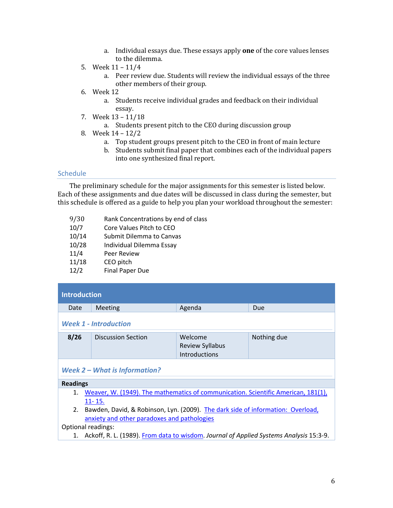- a. Individual essays due. These essays apply **one** of the core values lenses to the dilemma.
- 5. Week 11 11/4
	- a. Peer review due. Students will review the individual essays of the three other members of their group.
- 6. Week 12
	- a. Students receive individual grades and feedback on their individual essay.
- 7. Week 13 11/18
	- a. Students present pitch to the CEO during discussion group
- 8. Week 14 12/2
	- a. Top student groups present pitch to the CEO in front of main lecture
	- b. Students submit final paper that combines each of the individual papers into one synthesized final report.

## **Schedule**

The preliminary schedule for the major assignments for this semester is listed below. Each of these assignments and due dates will be discussed in class during the semester, but this schedule is offered as a guide to help you plan your workload throughout the semester:

- 9/30 Rank Concentrations by end of class
- 10/7 Core Values Pitch to CEO
- 10/14 Submit Dilemma to Canvas
- 10/28 Individual Dilemma Essay
- 11/4 Peer Review
- 11/18 CEO pitch
- 12/2 Final Paper Due

| Introduction |                              |                                                    |             |
|--------------|------------------------------|----------------------------------------------------|-------------|
| Date         | <b>Meeting</b>               | Agenda                                             | Due         |
|              | <b>Week 1 - Introduction</b> |                                                    |             |
| 8/26         | <b>Discussion Section</b>    | Welcome<br><b>Review Syllabus</b><br>Introductions | Nothing due |
|              |                              |                                                    |             |

## *Week 2 – What is Information?*

## **Readings**

- 1. Weaver, W. (1949). The mathematics of communication. Scientific American, 181(1), 11- 15.
- 2. Bawden, David, & Robinson, Lyn. (2009). The dark side of information: Overload, anxiety and other paradoxes and pathologies

## Optional readings:

1. Ackoff, R. L. (1989). From data to wisdom. *Journal of Applied Systems Analysis* 15:3-9.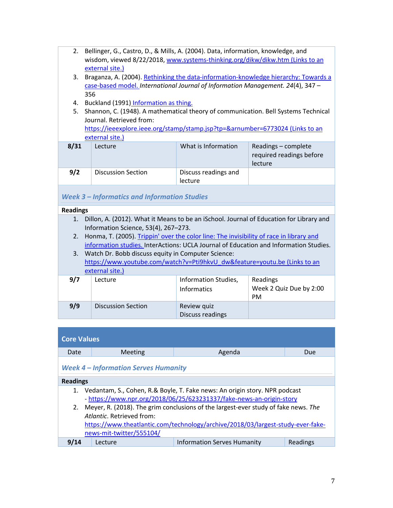- 2. Bellinger, G., Castro, D., & Mills, A. (2004). Data, information, knowledge, and wisdom, viewed 8/22/2018, www.systems-thinking.org/dikw/dikw.htm (Links to an external site.)
- 3. Braganza, A. (2004). Rethinking the data-information-knowledge hierarchy: Towards a case-based model. *International Journal of Information Management. 24*(4), 347 – 356
- 4. Buckland (1991) Information as thing.
- 5. Shannon, C. (1948). A mathematical theory of communication. Bell Systems Technical Journal. Retrieved from: https://ieeexplore.ieee.org/stamp/stamp.jsp?tp=&arnumber=6773024 (Links to an external site.)

|      | <b>CALCHIGH SILE.</b>     |                                 |                                                            |
|------|---------------------------|---------------------------------|------------------------------------------------------------|
| 8/31 | Lecture                   | What is Information             | Readings – complete<br>required readings before<br>lecture |
| 9/2  | <b>Discussion Section</b> | Discuss readings and<br>lecture |                                                            |

## *Week 3 – Informatics and Information Studies*

## **Readings**

- 1. Dillon, A. (2012). What it Means to be an iSchool. Journal of Education for Library and Information Science, 53(4), 267–273.
- 2. Honma, T. (2005). Trippin' over the color line: The invisibility of race in library and information studies. InterActions: UCLA Journal of Education and Information Studies.
- 3. Watch Dr. Bobb discuss equity in Computer Science: https://www.youtube.com/watch?v=Pti9hkvU\_dw&feature=youtu.be (Links to an external site.)

| 9/7 | Lecture                   | Information Studies,<br>Informatics | Readings<br>Week 2 Quiz Due by 2:00<br><b>PM</b> |
|-----|---------------------------|-------------------------------------|--------------------------------------------------|
| 9/9 | <b>Discussion Section</b> | Review quiz<br>Discuss readings     |                                                  |

# **Core Values**

| Date            | Meeting                                     | Agenda                                                                                | Due      |
|-----------------|---------------------------------------------|---------------------------------------------------------------------------------------|----------|
| <b>Readings</b> | <b>Week 4 – Information Serves Humanity</b> |                                                                                       |          |
|                 |                                             |                                                                                       |          |
|                 |                                             | 1. Vedantam, S., Cohen, R.& Boyle, T. Fake news: An origin story. NPR podcast         |          |
|                 |                                             | - https://www.npr.org/2018/06/25/623231337/fake-news-an-origin-story                  |          |
|                 |                                             | 2. Meyer, R. (2018). The grim conclusions of the largest-ever study of fake news. The |          |
|                 | Atlantic, Retrieved from:                   |                                                                                       |          |
|                 |                                             | https://www.theatlantic.com/technology/archive/2018/03/largest-study-ever-fake-       |          |
|                 | news-mit-twitter/555104/                    |                                                                                       |          |
| 9/14            | Lecture                                     | <b>Information Serves Humanity</b>                                                    | Readings |
|                 |                                             |                                                                                       |          |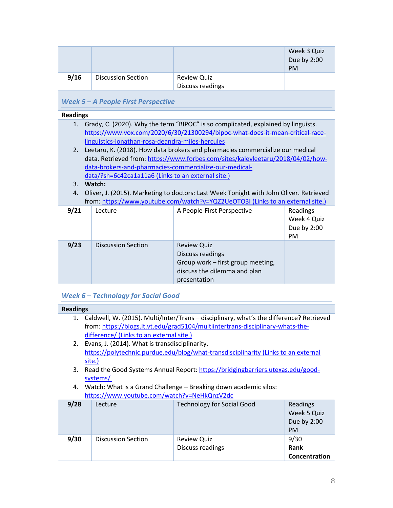|      |                           |                                        | Week 3 Quiz<br>Due by 2:00<br><b>PM</b> |
|------|---------------------------|----------------------------------------|-----------------------------------------|
| 9/16 | <b>Discussion Section</b> | <b>Review Quiz</b><br>Discuss readings |                                         |

# *Week 5 – A People First Perspective*

| <b>Readings</b> |                                                        |                                                                                        |             |
|-----------------|--------------------------------------------------------|----------------------------------------------------------------------------------------|-------------|
|                 |                                                        | 1. Grady, C. (2020). Why the term "BIPOC" is so complicated, explained by linguists.   |             |
|                 |                                                        | https://www.vox.com/2020/6/30/21300294/bipoc-what-does-it-mean-critical-race-          |             |
|                 | linguistics-jonathan-rosa-deandra-miles-hercules       |                                                                                        |             |
|                 |                                                        | 2. Leetaru, K. (2018). How data brokers and pharmacies commercialize our medical       |             |
|                 |                                                        | data. Retrieved from: https://www.forbes.com/sites/kalevleetaru/2018/04/02/how-        |             |
|                 | data-brokers-and-pharmacies-commercialize-our-medical- |                                                                                        |             |
|                 | data/?sh=6c42ca1a11a6 (Links to an external site.)     |                                                                                        |             |
| $3_{-}$         | Watch:                                                 |                                                                                        |             |
| 4.              |                                                        | Oliver, J. (2015). Marketing to doctors: Last Week Tonight with John Oliver. Retrieved |             |
|                 |                                                        | from: https://www.youtube.com/watch?v=YQZ2UeOTO3I (Links to an external site.)         |             |
| 9/21            | Lecture                                                | A People-First Perspective                                                             | Readings    |
|                 |                                                        |                                                                                        | Week 4 Quiz |
|                 |                                                        |                                                                                        | Due by 2:00 |
|                 |                                                        |                                                                                        | <b>PM</b>   |
| 9/23            | Discussion Section                                     | <b>Review Quiz</b>                                                                     |             |
|                 |                                                        | Discuss readings                                                                       |             |
|                 |                                                        | Group work - first group meeting,                                                      |             |
|                 |                                                        | discuss the dilemma and plan                                                           |             |
|                 |                                                        | presentation                                                                           |             |
|                 |                                                        |                                                                                        |             |

## *Week 6 – Technology for Social Good*

| <b>Readings</b> |                                             |                                                   |                                                                                         |               |
|-----------------|---------------------------------------------|---------------------------------------------------|-----------------------------------------------------------------------------------------|---------------|
| $1_{-}$         |                                             |                                                   | Caldwell, W. (2015). Multi/Inter/Trans – disciplinary, what's the difference? Retrieved |               |
|                 |                                             |                                                   | from: https://blogs.lt.vt.edu/grad5104/multiintertrans-disciplinary-whats-the-          |               |
|                 |                                             | difference/ (Links to an external site.)          |                                                                                         |               |
|                 |                                             | 2. Evans, J. (2014). What is transdisciplinarity. |                                                                                         |               |
|                 |                                             |                                                   | https://polytechnic.purdue.edu/blog/what-transdisciplinarity (Links to an external      |               |
|                 | site.)                                      |                                                   |                                                                                         |               |
| 3.              |                                             |                                                   | Read the Good Systems Annual Report: https://bridgingbarriers.utexas.edu/good-          |               |
|                 |                                             | systems/                                          |                                                                                         |               |
| 4.              |                                             |                                                   | Watch: What is a Grand Challenge - Breaking down academic silos:                        |               |
|                 | https://www.youtube.com/watch?v=NeHkQnzV2dc |                                                   |                                                                                         |               |
| 9/28            |                                             | Lecture                                           | <b>Technology for Social Good</b>                                                       | Readings      |
|                 |                                             |                                                   |                                                                                         | Week 5 Quiz   |
|                 |                                             |                                                   |                                                                                         | Due by 2:00   |
|                 |                                             |                                                   |                                                                                         | <b>PM</b>     |
| 9/30            |                                             | <b>Discussion Section</b>                         | <b>Review Quiz</b>                                                                      | 9/30          |
|                 |                                             |                                                   | Discuss readings                                                                        | Rank          |
|                 |                                             |                                                   |                                                                                         | Concentration |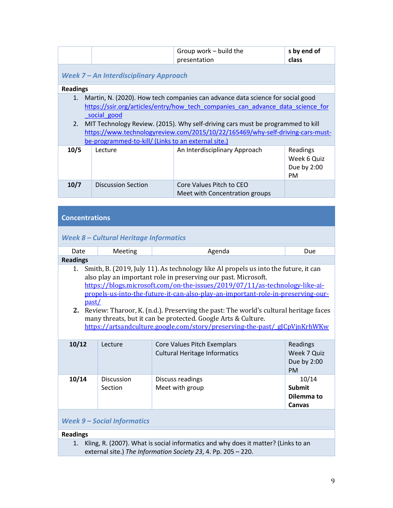|                 |                                                                    | Group work - build the<br>presentation                                                                                                                                                                                                                                                                                                 | s by end of<br>class                          |
|-----------------|--------------------------------------------------------------------|----------------------------------------------------------------------------------------------------------------------------------------------------------------------------------------------------------------------------------------------------------------------------------------------------------------------------------------|-----------------------------------------------|
|                 | Week 7 - An Interdisciplinary Approach                             |                                                                                                                                                                                                                                                                                                                                        |                                               |
| <b>Readings</b> |                                                                    |                                                                                                                                                                                                                                                                                                                                        |                                               |
| 1.<br>2.        | social good<br>be-programmed-to-kill/ (Links to an external site.) | Martin, N. (2020). How tech companies can advance data science for social good<br>https://ssir.org/articles/entry/how tech companies can advance data science for<br>MIT Technology Review. (2015). Why self-driving cars must be programmed to kill<br>https://www.technologyreview.com/2015/10/22/165469/why-self-driving-cars-must- |                                               |
| 10/5            | Lecture                                                            | An Interdisciplinary Approach                                                                                                                                                                                                                                                                                                          | Readings<br>Week 6 Quiz<br>Due by 2:00<br>PM. |
| 10/7            | <b>Discussion Section</b>                                          | Core Values Pitch to CEO<br>Meet with Concentration groups                                                                                                                                                                                                                                                                             |                                               |

| <b>Concentrations</b> |  |
|-----------------------|--|
|                       |  |

## *Week 8 – Cultural Heritage Informatics*

| Date                                                                                                                                                                                                                                                                                                                                                                                                                                                                                                                                                                                 | Meeting                      | Agenda                                                              | Due                                                 |  |
|--------------------------------------------------------------------------------------------------------------------------------------------------------------------------------------------------------------------------------------------------------------------------------------------------------------------------------------------------------------------------------------------------------------------------------------------------------------------------------------------------------------------------------------------------------------------------------------|------------------------------|---------------------------------------------------------------------|-----------------------------------------------------|--|
| <b>Readings</b>                                                                                                                                                                                                                                                                                                                                                                                                                                                                                                                                                                      |                              |                                                                     |                                                     |  |
| Smith, B. (2019, July 11). As technology like AI propels us into the future, it can<br>1.<br>also play an important role in preserving our past. Microsoft.<br>https://blogs.microsoft.com/on-the-issues/2019/07/11/as-technology-like-ai-<br>propels-us-into-the-future-it-can-also-play-an-important-role-in-preserving-our-<br>past/<br>Review: Tharoor, K. (n.d.). Preserving the past: The world's cultural heritage faces<br>2.<br>many threats, but it can be protected. Google Arts & Culture.<br>https://artsandculture.google.com/story/preserving-the-past/g[CpVjnKrhWKw] |                              |                                                                     |                                                     |  |
| 10/12                                                                                                                                                                                                                                                                                                                                                                                                                                                                                                                                                                                | Lecture                      | Core Values Pitch Exemplars<br><b>Cultural Heritage Informatics</b> | Readings<br>Week 7 Quiz<br>Due by 2:00<br><b>PM</b> |  |
| 10/14                                                                                                                                                                                                                                                                                                                                                                                                                                                                                                                                                                                | <b>Discussion</b><br>Section | Discuss readings<br>Meet with group                                 | 10/14<br><b>Submit</b><br>Dilemma to<br>Canvas      |  |
| <b>Week 9 - Social Informatics</b>                                                                                                                                                                                                                                                                                                                                                                                                                                                                                                                                                   |                              |                                                                     |                                                     |  |
| <b>Readings</b>                                                                                                                                                                                                                                                                                                                                                                                                                                                                                                                                                                      |                              |                                                                     |                                                     |  |
| Kling, R. (2007). What is social informatics and why does it matter? (Links to an<br>1.                                                                                                                                                                                                                                                                                                                                                                                                                                                                                              |                              |                                                                     |                                                     |  |

external site.) *The Information Society 23*, 4. Pp. 205 – 220.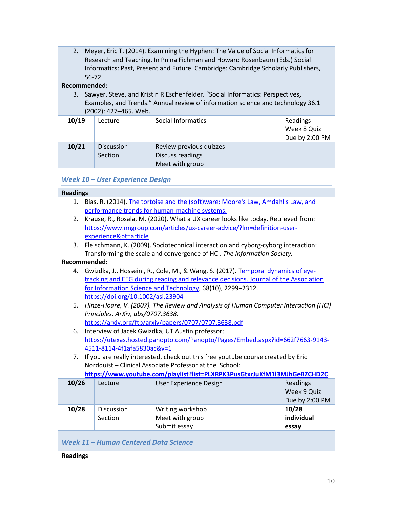2. Meyer, Eric T. (2014). Examining the Hyphen: The Value of Social Informatics for Research and Teaching. In Pnina Fichman and Howard Rosenbaum (Eds.) Social Informatics: Past, Present and Future. Cambridge: Cambridge Scholarly Publishers, 56-72.

## **Recommended:**

3. Sawyer, Steve, and Kristin R Eschenfelder. "Social Informatics: Perspectives, Examples, and Trends." Annual review of information science and technology 36.1 (2002): 427–465. Web.

| 10/19 | Lecture                      | Social Informatics                                             | Readings<br>Week 8 Quiz<br>Due by 2:00 PM |
|-------|------------------------------|----------------------------------------------------------------|-------------------------------------------|
| 10/21 | <b>Discussion</b><br>Section | Review previous quizzes<br>Discuss readings<br>Meet with group |                                           |

## *Week 10 – User Experience Design*

# **Readings**

- 1. Bias, R. (2014). The tortoise and the (soft)ware: Moore's Law, Amdahl's Law, and performance trends for human-machine systems.
- 2. Krause, R., Rosala, M. (2020). What a UX career looks like today. Retrieved from: https://www.nngroup.com/articles/ux-career-advice/?lm=definition-userexperience&pt=article
- 3. Fleischmann, K. (2009). Sociotechnical interaction and cyborg-cyborg interaction: Transforming the scale and convergence of HCI. *The Information Society.*

## **Recommended:**

**Readings**

- 4. Gwizdka, J., Hosseini, R., Cole, M., & Wang, S. (2017). Temporal dynamics of eyetracking and EEG during reading and relevance decisions. Journal of the Association for Information Science and Technology, 68(10), 2299–2312. https://doi.org/10.1002/asi.23904
- 5. *Hinze-Hoare, V. (2007). The Review and Analysis of Human Computer Interaction (HCI) Principles. ArXiv, abs/0707.3638.*  https://arxiv.org/ftp/arxiv/papers/0707/0707.3638.pdf
- 6. Interview of Jacek Gwizdka, UT Austin professor; https://utexas.hosted.panopto.com/Panopto/Pages/Embed.aspx?id=662f7663-9143- 4511-8114-4f1afa5830ac&v=1
- 7. If you are really interested, check out this free youtube course created by Eric Nordquist – Clinical Associate Professor at the iSchool: **https://www.youtube.com/playlist?list=PLXRPK3PusGtxrJuKfM1l3MJhGeBZCHD2C**

| <u>Https://www.youtube.com/playiist: iist=r LAINF NJF usQtADuNHVILIJIWJHQEDZCHDZC</u> |                   |                        |                |
|---------------------------------------------------------------------------------------|-------------------|------------------------|----------------|
| 10/26                                                                                 | Lecture           | User Experience Design | Readings       |
|                                                                                       |                   |                        | Week 9 Quiz    |
|                                                                                       |                   |                        | Due by 2:00 PM |
| 10/28                                                                                 | <b>Discussion</b> | Writing workshop       | 10/28          |
|                                                                                       | Section           | Meet with group        | individual     |
|                                                                                       |                   | Submit essay           | essay          |
| Week 11 - Human Centered Data Science                                                 |                   |                        |                |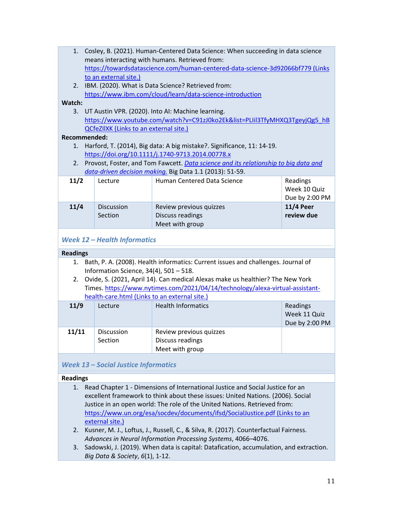|        | 1. Cosley, B. (2021). Human-Centered Data Science: When succeeding in data science                                                              |                                               |                                                                                |                  |  |
|--------|-------------------------------------------------------------------------------------------------------------------------------------------------|-----------------------------------------------|--------------------------------------------------------------------------------|------------------|--|
|        |                                                                                                                                                 |                                               | means interacting with humans. Retrieved from:                                 |                  |  |
|        |                                                                                                                                                 |                                               | https://towardsdatascience.com/human-centered-data-science-3d92066bf779 (Links |                  |  |
|        |                                                                                                                                                 | to an external site.)                         |                                                                                |                  |  |
| 2.     |                                                                                                                                                 |                                               | IBM. (2020). What is Data Science? Retrieved from:                             |                  |  |
|        |                                                                                                                                                 |                                               | https://www.ibm.com/cloud/learn/data-science-introduction                      |                  |  |
| Watch: |                                                                                                                                                 |                                               |                                                                                |                  |  |
| 3.     | UT Austin VPR. (2020). Into AI: Machine learning.                                                                                               |                                               |                                                                                |                  |  |
|        | https://www.youtube.com/watch?v=C91zJ0ko2Ek&list=PLIil3TfyMHXQ3TgeyjQg5 hB                                                                      |                                               |                                                                                |                  |  |
|        |                                                                                                                                                 | <b>QCfeZIIXK (Links to an external site.)</b> |                                                                                |                  |  |
|        | Recommended:                                                                                                                                    |                                               |                                                                                |                  |  |
| 1.     | Harford, T. (2014), Big data: A big mistake?. Significance, 11: 14-19.                                                                          |                                               |                                                                                |                  |  |
|        | https://doi.org/10.1111/j.1740-9713.2014.00778.x                                                                                                |                                               |                                                                                |                  |  |
| 2.     |                                                                                                                                                 |                                               |                                                                                |                  |  |
|        | Provost, Foster, and Tom Fawcett. Data science and its relationship to big data and<br>data-driven decision making. Big Data 1.1 (2013): 51-59. |                                               |                                                                                |                  |  |
|        |                                                                                                                                                 |                                               |                                                                                |                  |  |
| 11/2   |                                                                                                                                                 | Lecture                                       | <b>Human Centered Data Science</b>                                             | Readings         |  |
|        |                                                                                                                                                 |                                               |                                                                                | Week 10 Quiz     |  |
|        |                                                                                                                                                 |                                               |                                                                                | Due by 2:00 PM   |  |
| 11/4   |                                                                                                                                                 | <b>Discussion</b>                             | Review previous quizzes                                                        | <b>11/4 Peer</b> |  |
|        |                                                                                                                                                 | Section                                       | Discuss readings                                                               | review due       |  |
|        |                                                                                                                                                 |                                               | Meet with group                                                                |                  |  |

## *Week 12 – Health Informatics*

## **Readings**

- 1. Bath, P. A. (2008). Health informatics: Current issues and challenges. Journal of Information Science, 34(4), 501 – 518.
- 2. Ovide, S. (2021, April 14). Can medical Alexas make us healthier? The New York Times. https://www.nytimes.com/2021/04/14/technology/alexa-virtual-assistanthealth-care.html (Links to an external site.)

| 11/9  | Lecture                      | <b>Health Informatics</b>                                      | Readings<br>Week 11 Quiz<br>Due by 2:00 PM |
|-------|------------------------------|----------------------------------------------------------------|--------------------------------------------|
| 11/11 | <b>Discussion</b><br>Section | Review previous quizzes<br>Discuss readings<br>Meet with group |                                            |

## *Week 13 – Social Justice Informatics*

## **Readings**

- 1. Read Chapter 1 Dimensions of International Justice and Social Justice for an excellent framework to think about these issues: United Nations. (2006). Social Justice in an open world: The role of the United Nations. Retrieved from: https://www.un.org/esa/socdev/documents/ifsd/SocialJustice.pdf (Links to an external site.)
- 2. Kusner, M. J., Loftus, J., Russell, C., & Silva, R. (2017). Counterfactual Fairness. *Advances in Neural Information Processing Systems*, 4066–4076.
- 3. Sadowski, J. (2019). When data is capital: Datafication, accumulation, and extraction. *Big Data & Society*, *6*(1), 1-12.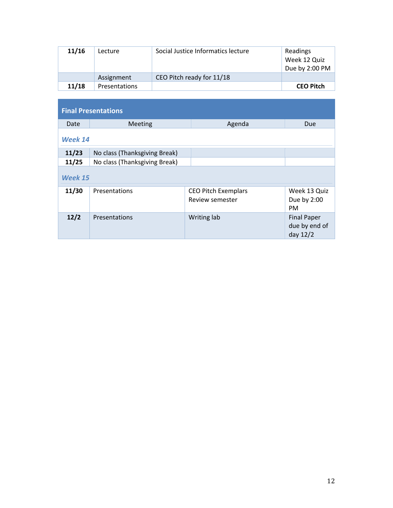| 11/16 | Lecture              | Social Justice Informatics lecture | Readings<br>Week 12 Quiz<br>Due by 2:00 PM |
|-------|----------------------|------------------------------------|--------------------------------------------|
|       | Assignment           | CEO Pitch ready for 11/18          |                                            |
| 11/18 | <b>Presentations</b> |                                    | <b>CEO Pitch</b>                           |

| <b>Final Presentations</b> |                               |                                               |                                                 |  |  |
|----------------------------|-------------------------------|-----------------------------------------------|-------------------------------------------------|--|--|
| Date                       | <b>Meeting</b>                | Agenda                                        | <b>Due</b>                                      |  |  |
| Week 14                    |                               |                                               |                                                 |  |  |
| 11/23                      | No class (Thanksgiving Break) |                                               |                                                 |  |  |
| 11/25                      | No class (Thanksgiving Break) |                                               |                                                 |  |  |
| Week 15                    |                               |                                               |                                                 |  |  |
| 11/30                      | Presentations                 | <b>CEO Pitch Exemplars</b><br>Review semester | Week 13 Quiz<br>Due by 2:00<br><b>PM</b>        |  |  |
| 12/2                       | Presentations                 | Writing lab                                   | <b>Final Paper</b><br>due by end of<br>day 12/2 |  |  |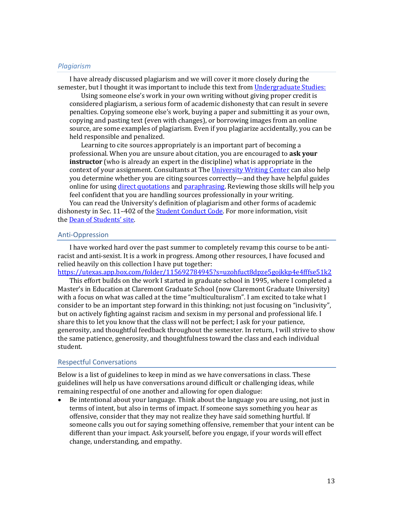## *Plagiarism*

I have already discussed plagiarism and we will cover it more closely during the semester, but I thought it was important to include this text from Undergraduate Studies:

Using someone else's work in your own writing without giving proper credit is considered plagiarism, a serious form of academic dishonesty that can result in severe penalties. Copying someone else's work, buying a paper and submitting it as your own, copying and pasting text (even with changes), or borrowing images from an online source, are some examples of plagiarism. Even if you plagiarize accidentally, you can be held responsible and penalized.

Learning to cite sources appropriately is an important part of becoming a professional. When you are unsure about citation, you are encouraged to ask your **instructor** (who is already an expert in the discipline) what is appropriate in the context of your assignment. Consultants at The University Writing Center can also help you determine whether you are citing sources correctly—and they have helpful guides online for using direct quotations and paraphrasing. Reviewing those skills will help you feel confident that you are handling sources professionally in your writing.

You can read the University's definition of plagiarism and other forms of academic dishonesty in Sec. 11-402 of the **Student Conduct Code**. For more information, visit the Dean of Students' site.

#### Anti-Oppression

I have worked hard over the past summer to completely revamp this course to be antiracist and anti-sexist. It is a work in progress. Among other resources, I have focused and relied heavily on this collection I have put together:

https://utexas.app.box.com/folder/115692784945?s=uzohfuct8dpze5gojkkp4e4fffse51k2

This effort builds on the work I started in graduate school in 1995, where I completed a Master's in Education at Claremont Graduate School (now Claremont Graduate University) with a focus on what was called at the time "multiculturalism". I am excited to take what I consider to be an important step forward in this thinking; not just focusing on "inclusivity", but on actively fighting against racism and sexism in my personal and professional life. I share this to let you know that the class will not be perfect; I ask for your patience, generosity, and thoughtful feedback throughout the semester. In return, I will strive to show the same patience, generosity, and thoughtfulness toward the class and each individual student. 

#### Respectful Conversations

Below is a list of guidelines to keep in mind as we have conversations in class. These guidelines will help us have conversations around difficult or challenging ideas, while remaining respectful of one another and allowing for open dialogue:

• Be intentional about your language. Think about the language you are using, not just in terms of intent, but also in terms of impact. If someone says something you hear as offensive, consider that they may not realize they have said something hurtful. If someone calls you out for saying something offensive, remember that your intent can be different than your impact. Ask yourself, before you engage, if your words will effect change, understanding, and empathy.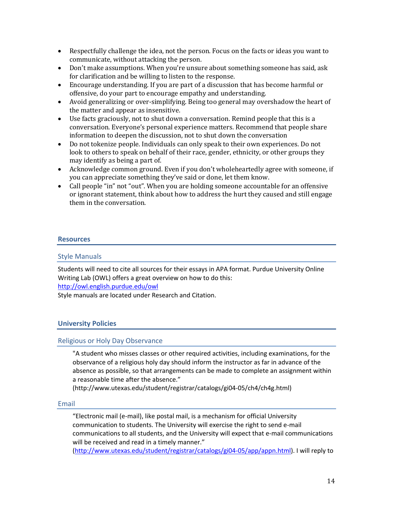- Respectfully challenge the idea, not the person. Focus on the facts or ideas you want to communicate, without attacking the person.
- Don't make assumptions. When you're unsure about something someone has said, ask for clarification and be willing to listen to the response.
- Encourage understanding. If you are part of a discussion that has become harmful or offensive, do your part to encourage empathy and understanding.
- Avoid generalizing or over-simplifying. Being too general may overshadow the heart of the matter and appear as insensitive.
- Use facts graciously, not to shut down a conversation. Remind people that this is a conversation. Everyone's personal experience matters. Recommend that people share information to deepen the discussion, not to shut down the conversation
- Do not tokenize people. Individuals can only speak to their own experiences. Do not look to others to speak on behalf of their race, gender, ethnicity, or other groups they may identify as being a part of.
- Acknowledge common ground. Even if you don't wholeheartedly agree with someone, if you can appreciate something they've said or done, let them know.
- Call people "in" not "out". When you are holding someone accountable for an offensive or ignorant statement, think about how to address the hurt they caused and still engage them in the conversation.

## **Resources**

## Style Manuals

Students will need to cite all sources for their essays in APA format. Purdue University Online Writing Lab (OWL) offers a great overview on how to do this: http://owl.english.purdue.edu/owl

Style manuals are located under Research and Citation.

## **University Policies**

## Religious or Holy Day Observance

"A student who misses classes or other required activities, including examinations, for the observance of a religious holy day should inform the instructor as far in advance of the absence as possible, so that arrangements can be made to complete an assignment within a reasonable time after the absence."

(http://www.utexas.edu/student/registrar/catalogs/gi04-05/ch4/ch4g.html)

## Email

"Electronic mail (e-mail), like postal mail, is a mechanism for official University communication to students. The University will exercise the right to send e-mail communications to all students, and the University will expect that e-mail communications will be received and read in a timely manner."

(http://www.utexas.edu/student/registrar/catalogs/gi04-05/app/appn.html). I will reply to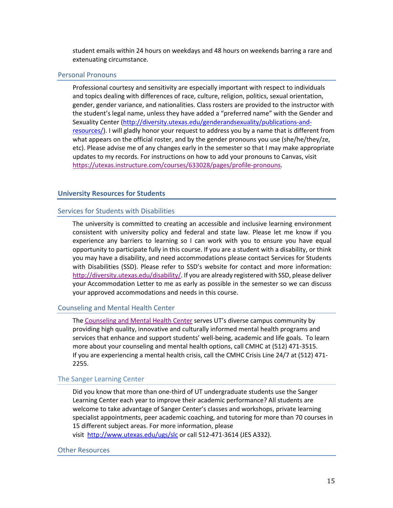student emails within 24 hours on weekdays and 48 hours on weekends barring a rare and extenuating circumstance.

## Personal Pronouns

Professional courtesy and sensitivity are especially important with respect to individuals and topics dealing with differences of race, culture, religion, politics, sexual orientation, gender, gender variance, and nationalities. Class rosters are provided to the instructor with the student's legal name, unless they have added a "preferred name" with the Gender and Sexuality Center (http://diversity.utexas.edu/genderandsexuality/publications-andresources/). I will gladly honor your request to address you by a name that is different from what appears on the official roster, and by the gender pronouns you use (she/he/they/ze, etc). Please advise me of any changes early in the semester so that I may make appropriate updates to my records. For instructions on how to add your pronouns to Canvas, visit https://utexas.instructure.com/courses/633028/pages/profile-pronouns.

## **University Resources for Students**

#### Services for Students with Disabilities

The university is committed to creating an accessible and inclusive learning environment consistent with university policy and federal and state law. Please let me know if you experience any barriers to learning so I can work with you to ensure you have equal opportunity to participate fully in this course. If you are a student with a disability, or think you may have a disability, and need accommodations please contact Services for Students with Disabilities (SSD). Please refer to SSD's website for contact and more information: http://diversity.utexas.edu/disability/. If you are already registered with SSD, please deliver your Accommodation Letter to me as early as possible in the semester so we can discuss your approved accommodations and needs in this course.

#### Counseling and Mental Health Center

The Counseling and Mental Health Center serves UT's diverse campus community by providing high quality, innovative and culturally informed mental health programs and services that enhance and support students' well-being, academic and life goals. To learn more about your counseling and mental health options, call CMHC at (512) 471-3515. If you are experiencing a mental health crisis, call the CMHC Crisis Line 24/7 at (512) 471- 2255.

#### The Sanger Learning Center

Did you know that more than one-third of UT undergraduate students use the Sanger Learning Center each year to improve their academic performance? All students are welcome to take advantage of Sanger Center's classes and workshops, private learning specialist appointments, peer academic coaching, and tutoring for more than 70 courses in 15 different subject areas. For more information, please visit http://www.utexas.edu/ugs/slc or call 512-471-3614 (JES A332).

#### Other Resources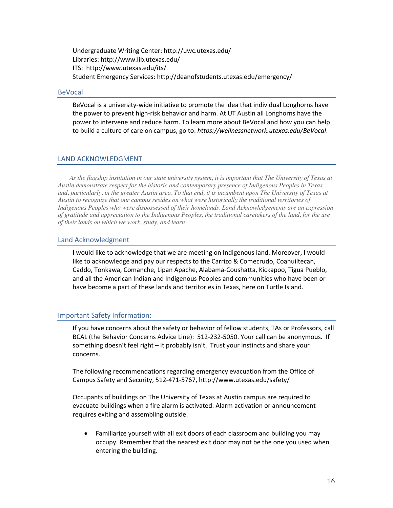Undergraduate Writing Center: http://uwc.utexas.edu/ Libraries: http://www.lib.utexas.edu/ ITS: http://www.utexas.edu/its/ Student Emergency Services: http://deanofstudents.utexas.edu/emergency/

#### BeVocal

BeVocal is a university-wide initiative to promote the idea that individual Longhorns have the power to prevent high-risk behavior and harm. At UT Austin all Longhorns have the power to intervene and reduce harm. To learn more about BeVocal and how you can help to build a culture of care on campus, go to: *https://wellnessnetwork.utexas.edu/BeVocal*.

## LAND ACKNOWLEDGMENT

*As the flagship institution in our state university system, it is important that The University of Texas at Austin demonstrate respect for the historic and contemporary presence of Indigenous Peoples in Texas and, particularly, in the greater Austin area. To that end, it is incumbent upon The University of Texas at Austin to recognize that our campus resides on what were historically the traditional territories of Indigenous Peoples who were dispossessed of their homelands. Land Acknowledgements are an expression of gratitude and appreciation to the Indigenous Peoples, the traditional caretakers of the land, for the use of their lands on which we work, study, and learn.* 

## Land Acknowledgment

I would like to acknowledge that we are meeting on Indigenous land. Moreover, I would like to acknowledge and pay our respects to the Carrizo & Comecrudo, Coahuiltecan, Caddo, Tonkawa, Comanche, Lipan Apache, Alabama-Coushatta, Kickapoo, Tigua Pueblo, and all the American Indian and Indigenous Peoples and communities who have been or have become a part of these lands and territories in Texas, here on Turtle Island.

## Important Safety Information:

If you have concerns about the safety or behavior of fellow students, TAs or Professors, call BCAL (the Behavior Concerns Advice Line): 512-232-5050. Your call can be anonymous. If something doesn't feel right – it probably isn't. Trust your instincts and share your concerns.

The following recommendations regarding emergency evacuation from the Office of Campus Safety and Security, 512-471-5767, http://www.utexas.edu/safety/

Occupants of buildings on The University of Texas at Austin campus are required to evacuate buildings when a fire alarm is activated. Alarm activation or announcement requires exiting and assembling outside.

• Familiarize yourself with all exit doors of each classroom and building you may occupy. Remember that the nearest exit door may not be the one you used when entering the building.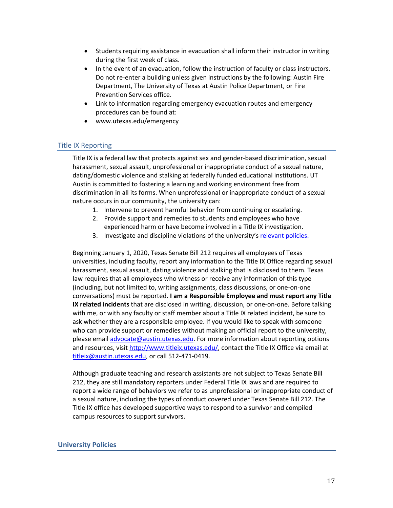- Students requiring assistance in evacuation shall inform their instructor in writing during the first week of class.
- In the event of an evacuation, follow the instruction of faculty or class instructors. Do not re-enter a building unless given instructions by the following: Austin Fire Department, The University of Texas at Austin Police Department, or Fire Prevention Services office.
- Link to information regarding emergency evacuation routes and emergency procedures can be found at:
- www.utexas.edu/emergency

## Title IX Reporting

Title IX is a federal law that protects against sex and gender-based discrimination, sexual harassment, sexual assault, unprofessional or inappropriate conduct of a sexual nature, dating/domestic violence and stalking at federally funded educational institutions. UT Austin is committed to fostering a learning and working environment free from discrimination in all its forms. When unprofessional or inappropriate conduct of a sexual nature occurs in our community, the university can:

- 1. Intervene to prevent harmful behavior from continuing or escalating.
- 2. Provide support and remedies to students and employees who have experienced harm or have become involved in a Title IX investigation.
- 3. Investigate and discipline violations of the university's relevant policies.

Beginning January 1, 2020, Texas Senate Bill 212 requires all employees of Texas universities, including faculty, report any information to the Title IX Office regarding sexual harassment, sexual assault, dating violence and stalking that is disclosed to them. Texas law requires that all employees who witness or receive any information of this type (including, but not limited to, writing assignments, class discussions, or one-on-one conversations) must be reported. **I am a Responsible Employee and must report any Title IX related incidents** that are disclosed in writing, discussion, or one-on-one. Before talking with me, or with any faculty or staff member about a Title IX related incident, be sure to ask whether they are a responsible employee. If you would like to speak with someone who can provide support or remedies without making an official report to the university, please email advocate@austin.utexas.edu. For more information about reporting options and resources, visit http://www.titleix.utexas.edu/, contact the Title IX Office via email at titleix@austin.utexas.edu, or call 512-471-0419.

Although graduate teaching and research assistants are not subject to Texas Senate Bill 212, they are still mandatory reporters under Federal Title IX laws and are required to report a wide range of behaviors we refer to as unprofessional or inappropriate conduct of a sexual nature, including the types of conduct covered under Texas Senate Bill 212. The Title IX office has developed supportive ways to respond to a survivor and compiled campus resources to support survivors.

## **University Policies**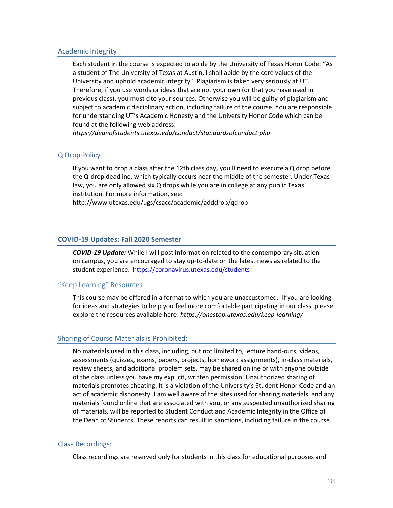## Academic Integrity

Each student in the course is expected to abide by the University of Texas Honor Code: "As a student of The University of Texas at Austin, I shall abide by the core values of the University and uphold academic integrity." Plagiarism is taken very seriously at UT. Therefore, if you use words or ideas that are not your own (or that you have used in previous class), you must cite your sources. Otherwise you will be guilty of plagiarism and subject to academic disciplinary action, including failure of the course. You are responsible for understanding UT's Academic Honesty and the University Honor Code which can be found at the following web address:

*https://deanofstudents.utexas.edu/conduct/standardsofconduct.php*

## Q Drop Policy

If you want to drop a class after the 12th class day, you'll need to execute a Q drop before the Q-drop deadline, which typically occurs near the middle of the semester. Under Texas law, you are only allowed six Q drops while you are in college at any public Texas institution. For more information, see:

http://www.utexas.edu/ugs/csacc/academic/adddrop/qdrop

## **COVID-19 Updates: Fall 2020 Semester**

*COVID-19 Update:* While I will post information related to the contemporary situation on campus, you are encouraged to stay up-to-date on the latest news as related to the student experience. https://coronavirus.utexas.edu/students

## "Keep Learning" Resources

This course may be offered in a format to which you are unaccustomed. If you are looking for ideas and strategies to help you feel more comfortable participating in our class, please explore the resources available here: *https://onestop.utexas.edu/keep-learning/*

## Sharing of Course Materials is Prohibited:

No materials used in this class, including, but not limited to, lecture hand-outs, videos, assessments (quizzes, exams, papers, projects, homework assignments), in-class materials, review sheets, and additional problem sets, may be shared online or with anyone outside of the class unless you have my explicit, written permission. Unauthorized sharing of materials promotes cheating. It is a violation of the University's Student Honor Code and an act of academic dishonesty. I am well aware of the sites used for sharing materials, and any materials found online that are associated with you, or any suspected unauthorized sharing of materials, will be reported to Student Conduct and Academic Integrity in the Office of the Dean of Students. These reports can result in sanctions, including failure in the course.

## Class Recordings:

Class recordings are reserved only for students in this class for educational purposes and